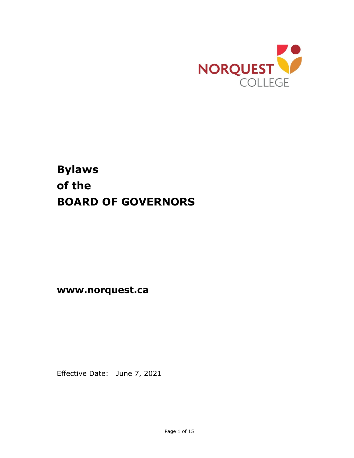

# **Bylaws of the BOARD OF GOVERNORS**

**www.norquest.ca**

Effective Date: June 7, 2021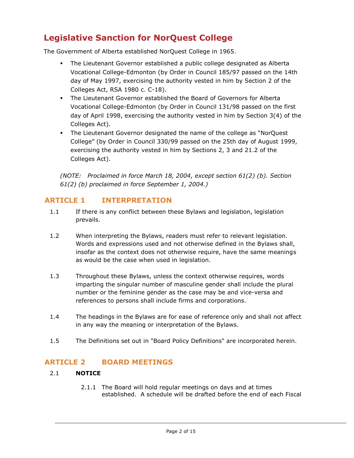## **Legislative Sanction for NorQuest College**

The Government of Alberta established NorQuest College in 1965.

- The Lieutenant Governor established a public college designated as Alberta Vocational College-Edmonton (by Order in Council 185/97 passed on the 14th day of May 1997, exercising the authority vested in him by Section 2 of the Colleges Act, RSA 1980 c. C-18).
- The Lieutenant Governor established the Board of Governors for Alberta Vocational College-Edmonton (by Order in Council 131/98 passed on the first day of April 1998, exercising the authority vested in him by Section 3(4) of the Colleges Act).
- The Lieutenant Governor designated the name of the college as "NorQuest College" (by Order in Council 330/99 passed on the 25th day of August 1999, exercising the authority vested in him by Sections 2, 3 and 21.2 of the Colleges Act).

*(NOTE: Proclaimed in force March 18, 2004, except section 61(2) (b). Section 61(2) (b) proclaimed in force September 1, 2004.)*

### **ARTICLE 1 INTERPRETATION**

- 1.1 If there is any conflict between these Bylaws and legislation, legislation prevails.
- 1.2 When interpreting the Bylaws, readers must refer to relevant legislation. Words and expressions used and not otherwise defined in the Bylaws shall, insofar as the context does not otherwise require, have the same meanings as would be the case when used in legislation.
- 1.3 Throughout these Bylaws, unless the context otherwise requires, words imparting the singular number of masculine gender shall include the plural number or the feminine gender as the case may be and vice-versa and references to persons shall include firms and corporations.
- 1.4 The headings in the Bylaws are for ease of reference only and shall not affect in any way the meaning or interpretation of the Bylaws.
- 1.5 The Definitions set out in "Board Policy Definitions" are incorporated herein.

### **ARTICLE 2 BOARD MEETINGS**

### 2.1 **NOTICE**

2.1.1 The Board will hold regular meetings on days and at times established. A schedule will be drafted before the end of each Fiscal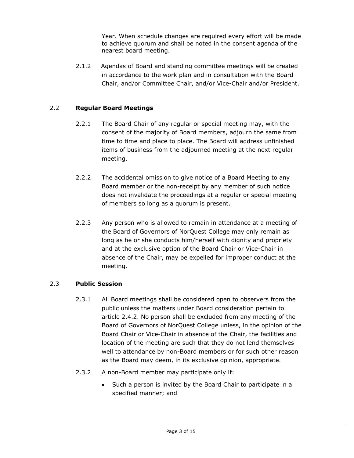Year. When schedule changes are required every effort will be made to achieve quorum and shall be noted in the consent agenda of the nearest board meeting.

2.1.2 Agendas of Board and standing committee meetings will be created in accordance to the work plan and in consultation with the Board Chair, and/or Committee Chair, and/or Vice-Chair and/or President.

#### 2.2 **Regular Board Meetings**

- 2.2.1 The Board Chair of any regular or special meeting may, with the consent of the majority of Board members, adjourn the same from time to time and place to place. The Board will address unfinished items of business from the adjourned meeting at the next regular meeting.
- 2.2.2 The accidental omission to give notice of a Board Meeting to any Board member or the non-receipt by any member of such notice does not invalidate the proceedings at a regular or special meeting of members so long as a quorum is present.
- 2.2.3 Any person who is allowed to remain in attendance at a meeting of the Board of Governors of NorQuest College may only remain as long as he or she conducts him/herself with dignity and propriety and at the exclusive option of the Board Chair or Vice-Chair in absence of the Chair, may be expelled for improper conduct at the meeting.

#### 2.3 **Public Session**

- 2.3.1 All Board meetings shall be considered open to observers from the public unless the matters under Board consideration pertain to article 2.4.2. No person shall be excluded from any meeting of the Board of Governors of NorQuest College unless, in the opinion of the Board Chair or Vice-Chair in absence of the Chair, the facilities and location of the meeting are such that they do not lend themselves well to attendance by non-Board members or for such other reason as the Board may deem, in its exclusive opinion, appropriate.
- 2.3.2 A non-Board member may participate only if:
	- Such a person is invited by the Board Chair to participate in a specified manner; and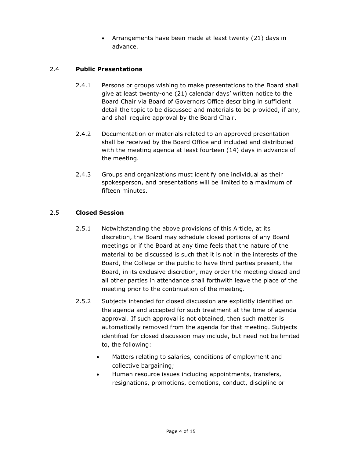• Arrangements have been made at least twenty (21) days in advance.

### 2.4 **Public Presentations**

- 2.4.1 Persons or groups wishing to make presentations to the Board shall give at least twenty-one (21) calendar days' written notice to the Board Chair via Board of Governors Office describing in sufficient detail the topic to be discussed and materials to be provided, if any, and shall require approval by the Board Chair.
- 2.4.2 Documentation or materials related to an approved presentation shall be received by the Board Office and included and distributed with the meeting agenda at least fourteen (14) days in advance of the meeting.
- 2.4.3 Groups and organizations must identify one individual as their spokesperson, and presentations will be limited to a maximum of fifteen minutes.

### 2.5 **Closed Session**

- 2.5.1 Notwithstanding the above provisions of this Article, at its discretion, the Board may schedule closed portions of any Board meetings or if the Board at any time feels that the nature of the material to be discussed is such that it is not in the interests of the Board, the College or the public to have third parties present, the Board, in its exclusive discretion, may order the meeting closed and all other parties in attendance shall forthwith leave the place of the meeting prior to the continuation of the meeting.
- 2.5.2 Subjects intended for closed discussion are explicitly identified on the agenda and accepted for such treatment at the time of agenda approval. If such approval is not obtained, then such matter is automatically removed from the agenda for that meeting. Subjects identified for closed discussion may include, but need not be limited to, the following:
	- Matters relating to salaries, conditions of employment and collective bargaining;
	- Human resource issues including appointments, transfers, resignations, promotions, demotions, conduct, discipline or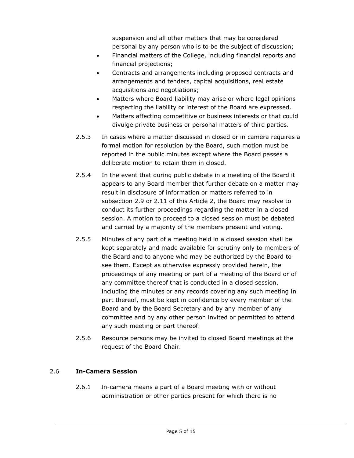suspension and all other matters that may be considered personal by any person who is to be the subject of discussion;

- Financial matters of the College, including financial reports and financial projections;
- Contracts and arrangements including proposed contracts and arrangements and tenders, capital acquisitions, real estate acquisitions and negotiations;
- Matters where Board liability may arise or where legal opinions respecting the liability or interest of the Board are expressed.
- Matters affecting competitive or business interests or that could divulge private business or personal matters of third parties.
- 2.5.3 In cases where a matter discussed in closed or in camera requires a formal motion for resolution by the Board, such motion must be reported in the public minutes except where the Board passes a deliberate motion to retain them in closed.
- 2.5.4 In the event that during public debate in a meeting of the Board it appears to any Board member that further debate on a matter may result in disclosure of information or matters referred to in subsection 2.9 or 2.11 of this Article 2, the Board may resolve to conduct its further proceedings regarding the matter in a closed session. A motion to proceed to a closed session must be debated and carried by a majority of the members present and voting.
- 2.5.5 Minutes of any part of a meeting held in a closed session shall be kept separately and made available for scrutiny only to members of the Board and to anyone who may be authorized by the Board to see them. Except as otherwise expressly provided herein, the proceedings of any meeting or part of a meeting of the Board or of any committee thereof that is conducted in a closed session, including the minutes or any records covering any such meeting in part thereof, must be kept in confidence by every member of the Board and by the Board Secretary and by any member of any committee and by any other person invited or permitted to attend any such meeting or part thereof.
- 2.5.6 Resource persons may be invited to closed Board meetings at the request of the Board Chair.

### 2.6 **In-Camera Session**

2.6.1 In-camera means a part of a Board meeting with or without administration or other parties present for which there is no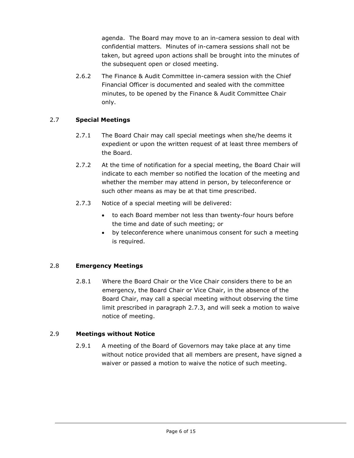agenda. The Board may move to an in-camera session to deal with confidential matters. Minutes of in-camera sessions shall not be taken, but agreed upon actions shall be brought into the minutes of the subsequent open or closed meeting.

2.6.2 The Finance & Audit Committee in-camera session with the Chief Financial Officer is documented and sealed with the committee minutes, to be opened by the Finance & Audit Committee Chair only.

### 2.7 **Special Meetings**

- 2.7.1 The Board Chair may call special meetings when she/he deems it expedient or upon the written request of at least three members of the Board.
- 2.7.2 At the time of notification for a special meeting, the Board Chair will indicate to each member so notified the location of the meeting and whether the member may attend in person, by teleconference or such other means as may be at that time prescribed.
- 2.7.3 Notice of a special meeting will be delivered:
	- to each Board member not less than twenty-four hours before the time and date of such meeting; or
	- by teleconference where unanimous consent for such a meeting is required.

### 2.8 **Emergency Meetings**

2.8.1 Where the Board Chair or the Vice Chair considers there to be an emergency, the Board Chair or Vice Chair, in the absence of the Board Chair, may call a special meeting without observing the time limit prescribed in paragraph 2.7.3, and will seek a motion to waive notice of meeting.

#### 2.9 **Meetings without Notice**

2.9.1 A meeting of the Board of Governors may take place at any time without notice provided that all members are present, have signed a waiver or passed a motion to waive the notice of such meeting.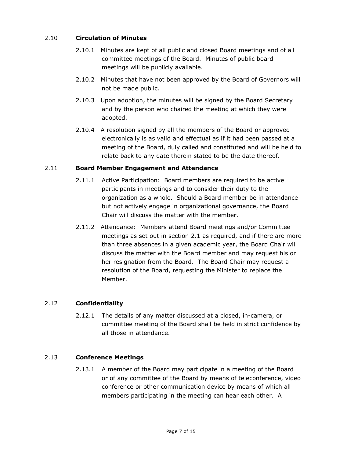### 2.10 **Circulation of Minutes**

- 2.10.1 Minutes are kept of all public and closed Board meetings and of all committee meetings of the Board. Minutes of public board meetings will be publicly available.
- 2.10.2 Minutes that have not been approved by the Board of Governors will not be made public.
- 2.10.3 Upon adoption, the minutes will be signed by the Board Secretary and by the person who chaired the meeting at which they were adopted.
- 2.10.4 A resolution signed by all the members of the Board or approved electronically is as valid and effectual as if it had been passed at a meeting of the Board, duly called and constituted and will be held to relate back to any date therein stated to be the date thereof.

### 2.11 **Board Member Engagement and Attendance**

- 2.11.1 Active Participation: Board members are required to be active participants in meetings and to consider their duty to the organization as a whole. Should a Board member be in attendance but not actively engage in organizational governance, the Board Chair will discuss the matter with the member.
- 2.11.2 Attendance: Members attend Board meetings and/or Committee meetings as set out in section 2.1 as required, and if there are more than three absences in a given academic year, the Board Chair will discuss the matter with the Board member and may request his or her resignation from the Board. The Board Chair may request a resolution of the Board, requesting the Minister to replace the Member.

### 2.12 **Confidentiality**

2.12.1 The details of any matter discussed at a closed, in-camera, or committee meeting of the Board shall be held in strict confidence by all those in attendance.

### 2.13 **Conference Meetings**

2.13.1 A member of the Board may participate in a meeting of the Board or of any committee of the Board by means of teleconference, video conference or other communication device by means of which all members participating in the meeting can hear each other. A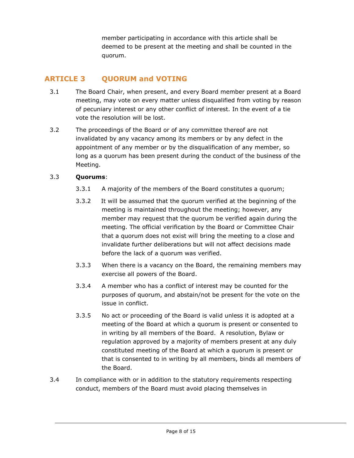member participating in accordance with this article shall be deemed to be present at the meeting and shall be counted in the quorum.

### **ARTICLE 3 QUORUM and VOTING**

- 3.1 The Board Chair, when present, and every Board member present at a Board meeting, may vote on every matter unless disqualified from voting by reason of pecuniary interest or any other conflict of interest. In the event of a tie vote the resolution will be lost.
- 3.2 The proceedings of the Board or of any committee thereof are not invalidated by any vacancy among its members or by any defect in the appointment of any member or by the disqualification of any member, so long as a quorum has been present during the conduct of the business of the Meeting.

### 3.3 **Quorums**:

- 3.3.1 A majority of the members of the Board constitutes a quorum;
- 3.3.2 It will be assumed that the quorum verified at the beginning of the meeting is maintained throughout the meeting; however, any member may request that the quorum be verified again during the meeting. The official verification by the Board or Committee Chair that a quorum does not exist will bring the meeting to a close and invalidate further deliberations but will not affect decisions made before the lack of a quorum was verified.
- 3.3.3 When there is a vacancy on the Board, the remaining members may exercise all powers of the Board.
- 3.3.4 A member who has a conflict of interest may be counted for the purposes of quorum, and abstain/not be present for the vote on the issue in conflict.
- 3.3.5 No act or proceeding of the Board is valid unless it is adopted at a meeting of the Board at which a quorum is present or consented to in writing by all members of the Board. A resolution, Bylaw or regulation approved by a majority of members present at any duly constituted meeting of the Board at which a quorum is present or that is consented to in writing by all members, binds all members of the Board.
- 3.4 In compliance with or in addition to the statutory requirements respecting conduct, members of the Board must avoid placing themselves in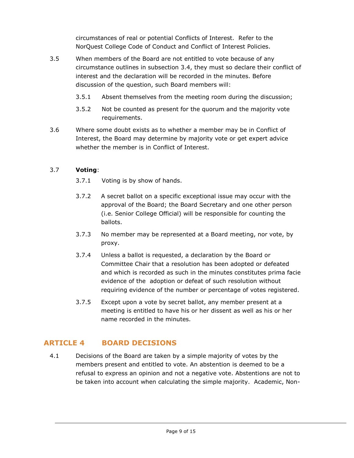circumstances of real or potential Conflicts of Interest. Refer to the NorQuest College Code of Conduct and Conflict of Interest Policies.

- 3.5 When members of the Board are not entitled to vote because of any circumstance outlines in subsection 3.4, they must so declare their conflict of interest and the declaration will be recorded in the minutes. Before discussion of the question, such Board members will:
	- 3.5.1 Absent themselves from the meeting room during the discussion;
	- 3.5.2 Not be counted as present for the quorum and the majority vote requirements.
- 3.6 Where some doubt exists as to whether a member may be in Conflict of Interest, the Board may determine by majority vote or get expert advice whether the member is in Conflict of Interest.

### 3.7 **Voting**:

- 3.7.1 Voting is by show of hands.
- 3.7.2 A secret ballot on a specific exceptional issue may occur with the approval of the Board; the Board Secretary and one other person (i.e. Senior College Official) will be responsible for counting the ballots.
- 3.7.3 No member may be represented at a Board meeting, nor vote, by proxy.
- 3.7.4 Unless a ballot is requested, a declaration by the Board or Committee Chair that a resolution has been adopted or defeated and which is recorded as such in the minutes constitutes prima facie evidence of the adoption or defeat of such resolution without requiring evidence of the number or percentage of votes registered.
- 3.7.5 Except upon a vote by secret ballot, any member present at a meeting is entitled to have his or her dissent as well as his or her name recorded in the minutes.

### **ARTICLE 4 BOARD DECISIONS**

4.1 Decisions of the Board are taken by a simple majority of votes by the members present and entitled to vote. An abstention is deemed to be a refusal to express an opinion and not a negative vote. Abstentions are not to be taken into account when calculating the simple majority. Academic, Non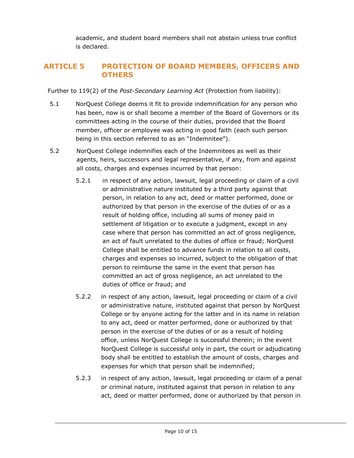academic, and student board members shall not abstain unless true conflict is declared.

### **ARTICLE 5 PROTECTION OF BOARD MEMBERS, OFFICERS AND OTHERS**

Further to 119(2) of the *Post-Secondary Learning Act* (Protection from liability):

- 5.1 NorQuest College deems it fit to provide indemnification for any person who has been, now is or shall become a member of the Board of Governors or its committees acting in the course of their duties, provided that the Board member, officer or employee was acting in good faith (each such person being in this section referred to as an "Indemnitee").
- 5.2 NorQuest College indemnifies each of the Indemnitees as well as their agents, heirs, successors and legal representative, if any, from and against all costs, charges and expenses incurred by that person:
	- 5.2.1 in respect of any action, lawsuit, legal proceeding or claim of a civil or administrative nature instituted by a third party against that person, in relation to any act, deed or matter performed, done or authorized by that person in the exercise of the duties of or as a result of holding office, including all sums of money paid in settlement of litigation or to execute a judgment, except in any case where that person has committed an act of gross negligence, an act of fault unrelated to the duties of office or fraud; NorQuest College shall be entitled to advance funds in relation to all costs, charges and expenses so incurred, subject to the obligation of that person to reimburse the same in the event that person has committed an act of gross negligence, an act unrelated to the duties of office or fraud; and
	- 5.2.2 in respect of any action, lawsuit, legal proceeding or claim of a civil or administrative nature, instituted against that person by NorQuest College or by anyone acting for the latter and in its name in relation to any act, deed or matter performed, done or authorized by that person in the exercise of the duties of or as a result of holding office, unless NorQuest College is successful therein; in the event NorQuest College is successful only in part, the court or adjudicating body shall be entitled to establish the amount of costs, charges and expenses for which that person shall be indemnified;
	- 5.2.3 in respect of any action, lawsuit, legal proceeding or claim of a penal or criminal nature, instituted against that person in relation to any act, deed or matter performed, done or authorized by that person in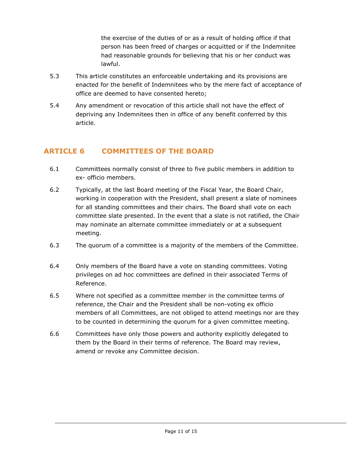the exercise of the duties of or as a result of holding office if that person has been freed of charges or acquitted or if the Indemnitee had reasonable grounds for believing that his or her conduct was lawful.

- 5.3 This article constitutes an enforceable undertaking and its provisions are enacted for the benefit of Indemnitees who by the mere fact of acceptance of office are deemed to have consented hereto;
- 5.4 Any amendment or revocation of this article shall not have the effect of depriving any Indemnitees then in office of any benefit conferred by this article.

### **ARTICLE 6 COMMITTEES OF THE BOARD**

- 6.1 Committees normally consist of three to five public members in addition to ex- officio members.
- 6.2 Typically, at the last Board meeting of the Fiscal Year, the Board Chair, working in cooperation with the President, shall present a slate of nominees for all standing committees and their chairs. The Board shall vote on each committee slate presented. In the event that a slate is not ratified, the Chair may nominate an alternate committee immediately or at a subsequent meeting.
- 6.3 The quorum of a committee is a majority of the members of the Committee.
- 6.4 Only members of the Board have a vote on standing committees. Voting privileges on ad hoc committees are defined in their associated Terms of Reference.
- 6.5 Where not specified as a committee member in the committee terms of reference, the Chair and the President shall be non-voting ex officio members of all Committees, are not obliged to attend meetings nor are they to be counted in determining the quorum for a given committee meeting.
- 6.6 Committees have only those powers and authority explicitly delegated to them by the Board in their terms of reference. The Board may review, amend or revoke any Committee decision.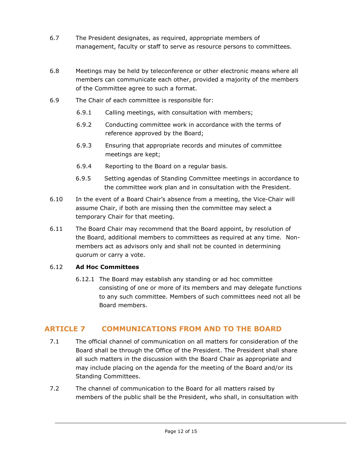- 6.7 The President designates, as required, appropriate members of management, faculty or staff to serve as resource persons to committees.
- 6.8 Meetings may be held by teleconference or other electronic means where all members can communicate each other, provided a majority of the members of the Committee agree to such a format.
- 6.9 The Chair of each committee is responsible for:
	- 6.9.1 Calling meetings, with consultation with members;
	- 6.9.2 Conducting committee work in accordance with the terms of reference approved by the Board;
	- 6.9.3 Ensuring that appropriate records and minutes of committee meetings are kept;
	- 6.9.4 Reporting to the Board on a regular basis.
	- 6.9.5 Setting agendas of Standing Committee meetings in accordance to the committee work plan and in consultation with the President.
- 6.10 In the event of a Board Chair's absence from a meeting, the Vice-Chair will assume Chair, if both are missing then the committee may select a temporary Chair for that meeting.
- 6.11 The Board Chair may recommend that the Board appoint, by resolution of the Board, additional members to committees as required at any time. Nonmembers act as advisors only and shall not be counted in determining quorum or carry a vote.

#### 6.12 **Ad Hoc Committees**

6.12.1 The Board may establish any standing or ad hoc committee consisting of one or more of its members and may delegate functions to any such committee. Members of such committees need not all be Board members.

### **ARTICLE 7 COMMUNICATIONS FROM AND TO THE BOARD**

- 7.1 The official channel of communication on all matters for consideration of the Board shall be through the Office of the President. The President shall share all such matters in the discussion with the Board Chair as appropriate and may include placing on the agenda for the meeting of the Board and/or its Standing Committees.
- 7.2 The channel of communication to the Board for all matters raised by members of the public shall be the President, who shall, in consultation with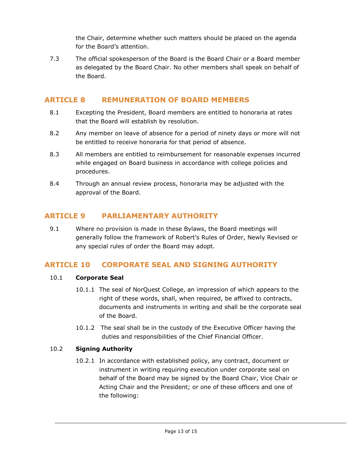the Chair, determine whether such matters should be placed on the agenda for the Board's attention.

7.3 The official spokesperson of the Board is the Board Chair or a Board member as delegated by the Board Chair. No other members shall speak on behalf of the Board.

### **ARTICLE 8 REMUNERATION OF BOARD MEMBERS**

- 8.1 Excepting the President, Board members are entitled to honoraria at rates that the Board will establish by resolution.
- 8.2 Any member on leave of absence for a period of ninety days or more will not be entitled to receive honoraria for that period of absence.
- 8.3 All members are entitled to reimbursement for reasonable expenses incurred while engaged on Board business in accordance with college policies and procedures.
- 8.4 Through an annual review process, honoraria may be adjusted with the approval of the Board.

### **ARTICLE 9 PARLIAMENTARY AUTHORITY**

9.1 Where no provision is made in these Bylaws, the Board meetings will generally follow the framework of Robert's Rules of Order, Newly Revised or any special rules of order the Board may adopt.

### **ARTICLE 10 CORPORATE SEAL AND SIGNING AUTHORITY**

### 10.1 **Corporate Seal**

- 10.1.1 The seal of NorQuest College, an impression of which appears to the right of these words, shall, when required, be affixed to contracts, documents and instruments in writing and shall be the corporate seal of the Board.
- 10.1.2 The seal shall be in the custody of the Executive Officer having the duties and responsibilities of the Chief Financial Officer.

### 10.2 **Signing Authority**

10.2.1 In accordance with established policy, any contract, document or instrument in writing requiring execution under corporate seal on behalf of the Board may be signed by the Board Chair, Vice Chair or Acting Chair and the President; or one of these officers and one of the following: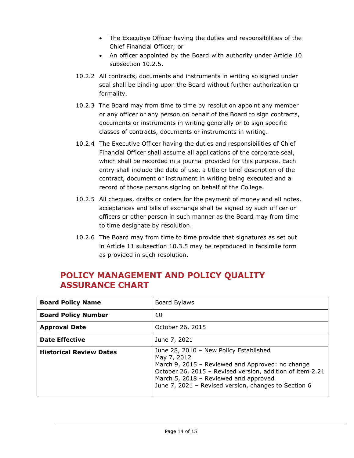- The Executive Officer having the duties and responsibilities of the Chief Financial Officer; or
- An officer appointed by the Board with authority under Article 10 subsection 10.2.5.
- 10.2.2 All contracts, documents and instruments in writing so signed under seal shall be binding upon the Board without further authorization or formality.
- 10.2.3 The Board may from time to time by resolution appoint any member or any officer or any person on behalf of the Board to sign contracts, documents or instruments in writing generally or to sign specific classes of contracts, documents or instruments in writing.
- 10.2.4 The Executive Officer having the duties and responsibilities of Chief Financial Officer shall assume all applications of the corporate seal, which shall be recorded in a journal provided for this purpose. Each entry shall include the date of use, a title or brief description of the contract, document or instrument in writing being executed and a record of those persons signing on behalf of the College.
- 10.2.5 All cheques, drafts or orders for the payment of money and all notes, acceptances and bills of exchange shall be signed by such officer or officers or other person in such manner as the Board may from time to time designate by resolution.
- 10.2.6 The Board may from time to time provide that signatures as set out in Article 11 subsection 10.3.5 may be reproduced in facsimile form as provided in such resolution.

### **POLICY MANAGEMENT AND POLICY QUALITY ASSURANCE CHART**

| <b>Board Policy Name</b>       | Board Bylaws                                                                                                                                                                                                                                                            |
|--------------------------------|-------------------------------------------------------------------------------------------------------------------------------------------------------------------------------------------------------------------------------------------------------------------------|
| <b>Board Policy Number</b>     | 10                                                                                                                                                                                                                                                                      |
| <b>Approval Date</b>           | October 26, 2015                                                                                                                                                                                                                                                        |
| <b>Date Effective</b>          | June 7, 2021                                                                                                                                                                                                                                                            |
| <b>Historical Review Dates</b> | June 28, 2010 - New Policy Established<br>May 7, 2012<br>March 9, 2015 - Reviewed and Approved: no change<br>October 26, 2015 - Revised version, addition of item 2.21<br>March 5, 2018 - Reviewed and approved<br>June 7, 2021 - Revised version, changes to Section 6 |